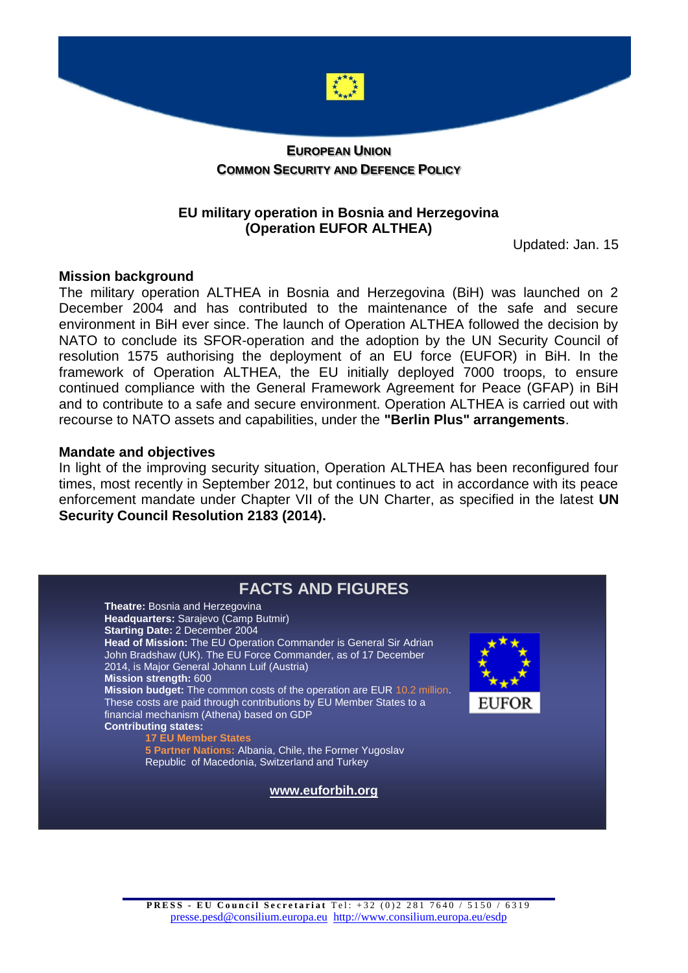

## **COMMON SECURITY AND DEFENCE POLICY**

## **EU military operation in Bosnia and Herzegovina (Operation EUFOR ALTHEA)**

Updated: Jan. 15

## **Mission background**

The military operation ALTHEA in Bosnia and Herzegovina (BiH) was launched on 2 December 2004 and has contributed to the maintenance of the safe and secure environment in BiH ever since. The launch of Operation ALTHEA followed the decision by NATO to conclude its SFOR-operation and the adoption by the UN Security Council of resolution 1575 authorising the deployment of an EU force (EUFOR) in BiH. In the framework of Operation ALTHEA, the EU initially deployed 7000 troops, to ensure continued compliance with the General Framework Agreement for Peace (GFAP) in BiH and to contribute to a safe and secure environment. Operation ALTHEA is carried out with recourse to NATO assets and capabilities, under the **"Berlin Plus" arrangements**.

## **Mandate and objectives**

In light of the improving security situation, Operation ALTHEA has been reconfigured four times, most recently in September 2012, but continues to act in accordance with its peace enforcement mandate under Chapter VII of the UN Charter, as specified in the latest **UN Security Council Resolution 2183 (2014).**